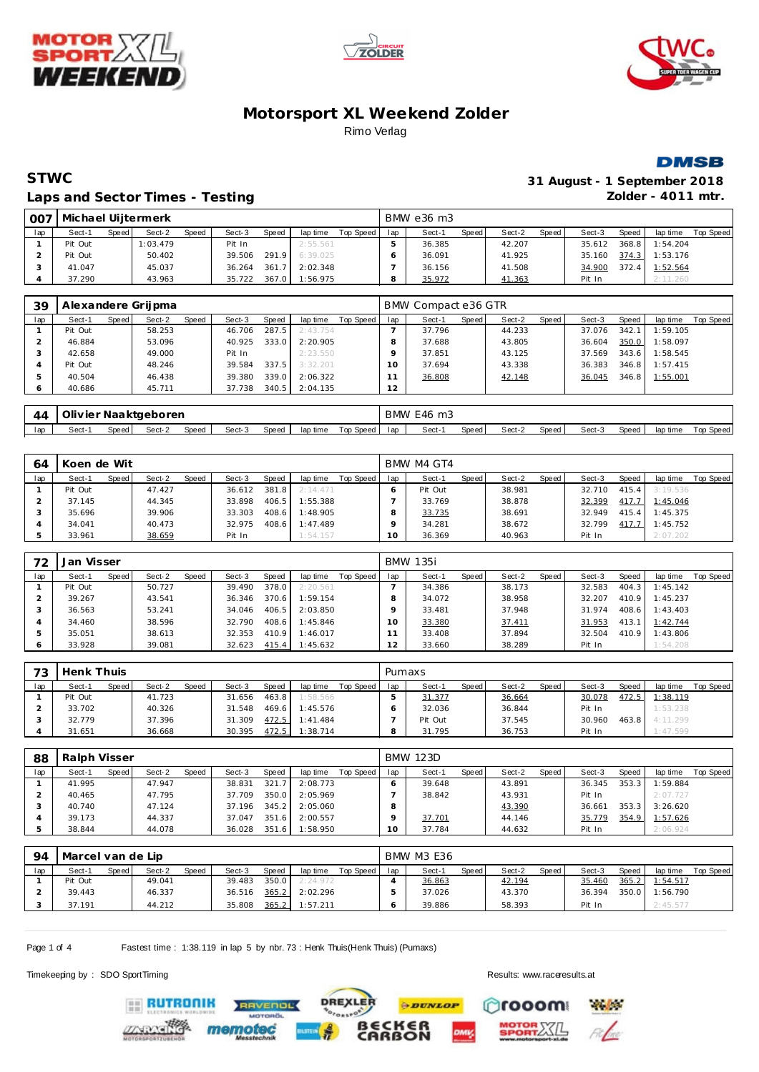







#### **STWC 31 August - 1 September 2018** Laps and Sector Times - Testing *Laps and Sector Times* - Testing *Zolder - 4011 mtr.*

| 007 | Michael Uijtermerk |       |          |       |        |       |                |           |     | BMW e36 m3 |       |        |       |        |       |          |                  |
|-----|--------------------|-------|----------|-------|--------|-------|----------------|-----------|-----|------------|-------|--------|-------|--------|-------|----------|------------------|
| lap | Sect-1             | Speed | Sect-2   | Speed | Sect-3 | Speed | lap time       | Top Speed | lap | Sect-1     | Speed | Sect-2 | Speed | Sect-3 | Speed | lap time | <b>Top Speed</b> |
|     | Pit Out            |       | 1:03.479 |       | Pit In |       | 2:55.561       |           |     | 36.385     |       | 42.207 |       | 35.612 | 368.8 | 1:54.204 |                  |
|     | Pit Out            |       | 50.402   |       | 39.506 |       | 291.9 6:39.025 |           |     | 36.091     |       | 41.925 |       | 35.160 | 374.3 | 1:53.176 |                  |
|     | 41.047             |       | 45.037   |       | 36.264 | 361.7 | 2:02.348       |           |     | 36.156     |       | 41.508 |       | 34.900 | 372.4 | 1:52.564 |                  |
|     | 37.290             |       | 43.963   |       | 35.722 | 367.0 | 1:56.975       |           |     | 35.972     |       | 41.363 |       | Pit In |       | 2:11.260 |                  |

| 39  | Alexandere Grijpma |       |        |       |        |       |          |           |     | BMW Compact e36 GTR |       |        |       |        |       |          |           |
|-----|--------------------|-------|--------|-------|--------|-------|----------|-----------|-----|---------------------|-------|--------|-------|--------|-------|----------|-----------|
| lap | Sect-1             | Speed | Sect-2 | Speed | Sect-3 | Speed | lap time | Top Speed | lap | Sect-1              | Speed | Sect-2 | Speed | Sect-3 | Speed | lap time | Top Speed |
|     | Pit Out            |       | 58.253 |       | 46.706 | 287.5 | 2:43.754 |           |     | 37.796              |       | 44.233 |       | 37.076 | 342.7 | 1:59.105 |           |
|     | 46.884             |       | 53.096 |       | 40.925 | 333.0 | 2:20.905 |           |     | 37.688              |       | 43.805 |       | 36.604 | 350.0 | 1:58.097 |           |
|     | 42.658             |       | 49.000 |       | Pit In |       | 2:23.550 |           |     | 37.851              |       | 43.125 |       | 37.569 | 343.6 | 1:58.545 |           |
|     | Pit Out            |       | 48.246 |       | 39.584 | 337.5 | 3:32.201 |           |     | 37.694              |       | 43.338 |       | 36.383 | 346.8 | 1:57.415 |           |
|     | 40.504             |       | 46.438 |       | 39.380 | 339.0 | 2:06.322 |           |     | 36.808              |       | 42.148 |       | 36.045 | 346.8 | 1:55.001 |           |
| O   | 40.686             |       | 45.711 |       | 37.738 | 340.5 | 2:04.135 |           | 12  |                     |       |        |       |        |       |          |           |

| 44  | Olivier Naaktgeboren |       |        |       |        |         |          |           |     | BMW E46 m3 |       |        |       |        |       |          |           |
|-----|----------------------|-------|--------|-------|--------|---------|----------|-----------|-----|------------|-------|--------|-------|--------|-------|----------|-----------|
| lap | Sect-                | Speed | Sect-2 | Speed | Sect-3 | Speed ' | lap time | Top Speed | lap | Sect-1     | Speed | Sect-2 | Speed | Sect-3 | Speed | lap time | Top Speed |

| 64  | Koen de Wit |       |        |       |        |       |          |           |                 | BMW M4 GT4 |       |        |       |        |       |          |           |
|-----|-------------|-------|--------|-------|--------|-------|----------|-----------|-----------------|------------|-------|--------|-------|--------|-------|----------|-----------|
| lap | Sect-1      | Speed | Sect-2 | Speed | Sect-3 | Speed | lap time | Top Speed | lap             | Sect-1     | Speed | Sect-2 | Speed | Sect-3 | Speed | lap time | Top Speed |
|     | Pit Out     |       | 47.427 |       | 36.612 | 381.8 | 2:14.471 |           |                 | Pit Out    |       | 38.981 |       | 32.710 | 415.4 | 3:19.536 |           |
|     | 37.145      |       | 44.345 |       | 33.898 | 406.5 | 1:55.388 |           |                 | 33.769     |       | 38.878 |       | 32.399 | 417.7 | 1:45.046 |           |
|     | 35.696      |       | 39.906 |       | 33.303 | 408.6 | 1:48.905 |           |                 | 33.735     |       | 38.691 |       | 32.949 | 415.4 | 1:45.375 |           |
|     | 34.041      |       | 40.473 |       | 32.975 | 408.6 | 1:47.489 |           |                 | 34.281     |       | 38.672 |       | 32.799 | 417.7 | 1:45.752 |           |
|     | 33.961      |       | 38.659 |       | Pit In |       | 1:54.157 |           | 10 <sup>°</sup> | 36.369     |       | 40.963 |       | Pit In |       | 2:07.202 |           |

| 72  | Jan Visser |       |        |       |        |       |          |           |         | <b>BMW 135i</b> |       |        |       |        |       |          |           |
|-----|------------|-------|--------|-------|--------|-------|----------|-----------|---------|-----------------|-------|--------|-------|--------|-------|----------|-----------|
| lap | Sect-1     | Speed | Sect-2 | Speed | Sect-3 | Speed | lap time | Top Speed | lap     | Sect-1          | Speed | Sect-2 | Speed | Sect-3 | Speed | lap time | Top Speed |
|     | Pit Out    |       | 50.727 |       | 39.490 | 378.0 | 2:20.561 |           |         | 34.386          |       | 38.173 |       | 32.583 | 404.3 | 1:45.142 |           |
|     | 39.267     |       | 43.541 |       | 36.346 | 370.6 | 1:59.154 |           | 8       | 34.072          |       | 38.958 |       | 32.207 | 410.9 | 1:45.237 |           |
|     | 36.563     |       | 53.241 |       | 34.046 | 406.5 | 2:03.850 |           | $\circ$ | 33.481          |       | 37.948 |       | 31.974 | 408.6 | 1:43.403 |           |
|     | 34.460     |       | 38.596 |       | 32.790 | 408.6 | 1:45.846 |           | 10      | 33.380          |       | 37.411 |       | 31.953 | 413.1 | 1:42.744 |           |
| 5   | 35.051     |       | 38.613 |       | 32.353 | 410.9 | 1:46.017 |           |         | 33.408          |       | 37.894 |       | 32.504 | 410.9 | 1:43.806 |           |
|     | 33.928     |       | 39.081 |       | 32.623 | 415.4 | 1:45.632 |           | 12      | 33.660          |       | 38.289 |       | Pit In |       | 1:54.208 |           |

| 73  | Henk Thuis |       |        |       |        |       |          |           | Pumaxs |         |       |        |        |        |       |          |           |
|-----|------------|-------|--------|-------|--------|-------|----------|-----------|--------|---------|-------|--------|--------|--------|-------|----------|-----------|
| lap | Sect-1     | Speed | Sect-2 | Speed | Sect-3 | Speed | lap time | Top Speed | lap    | Sect-1  | Speed | Sect-2 | Speed, | Sect-3 | Speed | lap time | Top Speed |
|     | Pit Out    |       | 41.723 |       | 31.656 | 463.8 | 1:58.566 |           |        | 31.377  |       | 36.664 |        | 30.078 | 472.5 | 1:38.119 |           |
|     | 33.702     |       | 40.326 |       | 31.548 | 469.6 | 1:45.576 |           |        | 32.036  |       | 36.844 |        | Pit In |       | 1:53.238 |           |
|     | 32.779     |       | 37.396 |       | 31.309 | 472.5 | 1:41.484 |           |        | Pit Out |       | 37.545 |        | 30.960 | 463.8 | 4:11.299 |           |
|     | 31.651     |       | 36.668 |       | 30.395 | 472.5 | 1:38.714 |           |        | 31.795  |       | 36.753 |        | Pit In |       | 1:47.599 |           |

| 88  | Ralph Visser |       |        |       |        |       |          |           |     | <b>BMW 123D</b> |       |        |       |        |       |          |           |
|-----|--------------|-------|--------|-------|--------|-------|----------|-----------|-----|-----------------|-------|--------|-------|--------|-------|----------|-----------|
| lap | Sect-1       | Speed | Sect-2 | Speed | Sect-3 | Speed | lap time | Top Speed | lap | Sect-1          | Speed | Sect-2 | Speed | Sect-3 | Speed | lap time | Top Speed |
|     | 41.995       |       | 47.947 |       | 38.831 | 321.  | 2:08.773 |           |     | 39.648          |       | 43.891 |       | 36.345 | 353.3 | 1:59.884 |           |
|     | 40.465       |       | 47.795 |       | 37.709 | 350.0 | 2:05.969 |           |     | 38.842          |       | 43.931 |       | Pit In |       | 2:07.727 |           |
|     | 40.740       |       | 47.124 |       | 37.196 | 345.2 | 2:05.060 |           |     |                 |       | 43.390 |       | 36.661 | 353.3 | 3:26.620 |           |
|     | 39.173       |       | 44.337 |       | 37.047 | 351.6 | 2:00.557 |           |     | 37.701          |       | 44.146 |       | 35.779 | 354.9 | 1:57.626 |           |
|     | 38.844       |       | 44.078 |       | 36.028 | 351.6 | 1:58.950 |           |     | 37.784          |       | 44.632 |       | Pit In |       | 2:06.924 |           |

| 94  | Marcel van de Lip |         |        |              |        |       |          |           |     | BMW M3 E36 |       |        |       |        |       |          |           |
|-----|-------------------|---------|--------|--------------|--------|-------|----------|-----------|-----|------------|-------|--------|-------|--------|-------|----------|-----------|
| lap | Sect-1            | Speed I | Sect-2 | <b>Speed</b> | Sect-3 | Speed | lap time | Top Speed | lap | Sect-1     | Speed | Sect-2 | Speed | Sect-3 | Speed | lap time | Top Speed |
|     | Pit Out           |         | 49.041 |              | 39.483 | 350.0 | 2:24.972 |           |     | 36.863     |       | 42.194 |       | 35.460 | 365.2 | 1:54.517 |           |
|     | 39.443            |         | 46.337 |              | 36.516 | 365.2 | 2:02.296 |           |     | 37.026     |       | 43.370 |       | 36.394 | 350.0 | 1:56.790 |           |
|     | 37.191            |         | 44.212 |              | 35.808 | 365.2 | 1:57.211 |           |     | 39.886     |       | 58.393 |       | Pit In |       | 2:45.577 |           |

**PDUNLOP** 

ក<br>on

**DREXLER** 

Page 1 of 4 Fastest time : 1:38.119 in lap 5 by nbr. 73 : Henk Thuis(Henk Thuis) (Pumaxs)

**TVENDL** 

Timekeeping by : SDO SportTiming Results:<www.raceresults.at>

rooom

**Particular** 

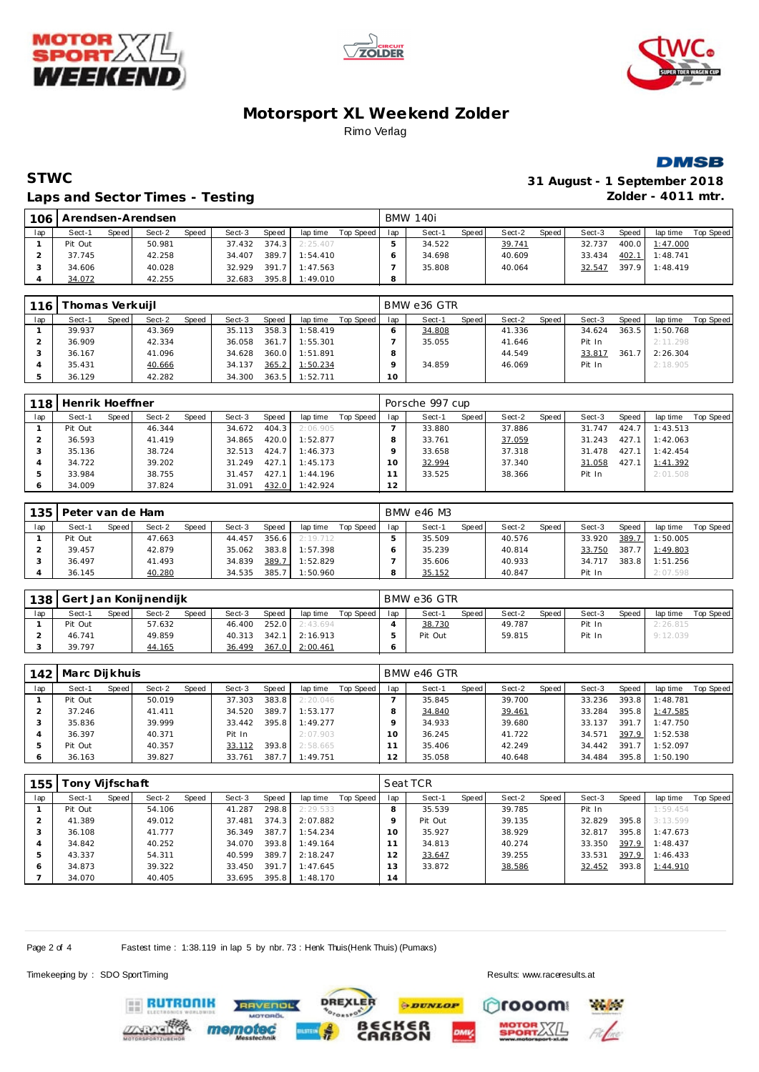







#### **STWC 31 August - 1 September 2018** Laps and Sector Times - Testing *Laps and Sector Times* - Testing *Zolder - 4011 mtr.*

| $-106$ |         |       | Arendsen-Arendsen |       |        |        |           |           |     | <b>BMW 140i</b> |       |        |       |        |       |          |           |
|--------|---------|-------|-------------------|-------|--------|--------|-----------|-----------|-----|-----------------|-------|--------|-------|--------|-------|----------|-----------|
| lap    | Sect-1  | Speed | Sect-2            | Speed | Sect-3 | Speed  | lap time  | Top Speed | lap | Sect-1          | Speed | Sect-2 | Speed | Sect-3 | Speed | lap time | Top Speed |
|        | Pit Out |       | 50.981            |       | 37.432 | 374.3  | 2:25.407  |           |     | 34.522          |       | 39.741 |       | 32.737 | 400.0 | 1:47.000 |           |
|        | 37.745  |       | 42.258            |       | 34.407 | 389.   | 1:54.410  |           |     | 34.698          |       | 40.609 |       | 33.434 | 402.1 | 1:48.741 |           |
|        | 34.606  |       | 40.028            |       | 32.929 | 391.7  | 1:47.563  |           |     | 35.808          |       | 40.064 |       | 32.547 | 397.9 | 1:48.419 |           |
|        | 34.072  |       | 42.255            |       | 32.683 | 395.81 | l: 49.010 |           |     |                 |       |        |       |        |       |          |           |

| 116 | Thomas Verkuijl |       |        |       |        |       |          |           |     | BMW e36 GTR |       |        |       |        |       |          |           |
|-----|-----------------|-------|--------|-------|--------|-------|----------|-----------|-----|-------------|-------|--------|-------|--------|-------|----------|-----------|
| lap | Sect-1          | Speed | Sect-2 | Speed | Sect-3 | Speed | lap time | Top Speed | lap | Sect-1      | Speed | Sect-2 | Speed | Sect-3 | Speed | lap time | Top Speed |
|     | 39.937          |       | 43.369 |       | 35.113 | 358.3 | 1:58.419 |           |     | 34.808      |       | 41.336 |       | 34.624 | 363.5 | 1:50.768 |           |
|     | 36.909          |       | 42.334 |       | 36.058 | 361.7 | 1:55.301 |           |     | 35.055      |       | 41.646 |       | Pit In |       | 2:11.298 |           |
|     | 36.167          |       | 41.096 |       | 34.628 | 360.0 | 1:51.891 |           | 8   |             |       | 44.549 |       | 33.817 | 361.7 | 2:26.304 |           |
|     | 35.431          |       | 40.666 |       | 34.137 | 365.2 | 1:50.234 |           |     | 34.859      |       | 46.069 |       | Pit In |       | 2:18.905 |           |
|     | 36.129          |       | 42.282 |       | 34.300 | 363.5 | 1:52.711 |           | 10  |             |       |        |       |        |       |          |           |

| 118 | Henrik Hoeffner |       |        |       |        |       |          |           |     | Porsche 997 cup |       |        |       |        |       |          |           |
|-----|-----------------|-------|--------|-------|--------|-------|----------|-----------|-----|-----------------|-------|--------|-------|--------|-------|----------|-----------|
| lap | Sect-1          | Speed | Sect-2 | Speed | Sect-3 | Speed | lap time | Top Speed | lap | Sect-1          | Speed | Sect-2 | Speed | Sect-3 | Speed | lap time | Top Speed |
|     | Pit Out         |       | 46.344 |       | 34.672 | 404.3 | 2:06.905 |           |     | 33.880          |       | 37.886 |       | 31.747 | 424.7 | 1:43.513 |           |
|     | 36.593          |       | 41.419 |       | 34.865 | 420.0 | 1:52.877 |           |     | 33.761          |       | 37.059 |       | 31.243 | 427.1 | 1:42.063 |           |
|     | 35.136          |       | 38.724 |       | 32.513 | 424.7 | 1:46.373 |           |     | 33.658          |       | 37.318 |       | 31.478 | 427.1 | 1:42.454 |           |
|     | 34.722          |       | 39.202 |       | 31.249 | 427.1 | 1:45.173 |           |     | 32.994          |       | 37.340 |       | 31.058 | 427.1 | 1:41.392 |           |
|     | 33.984          |       | 38.755 |       | 31.457 | 427.1 | 1:44.196 |           |     | 33.525          |       | 38.366 |       | Pit In |       | 2:01.508 |           |
|     | 34.009          |       | 37.824 |       | 31.091 | 432.0 | 1:42.924 |           | 12  |                 |       |        |       |        |       |          |           |

| 135 | Peter van de Ham |         |        |              |        |       |          |           |     | BMW e46 M3 |       |        |       |        |       |          |           |
|-----|------------------|---------|--------|--------------|--------|-------|----------|-----------|-----|------------|-------|--------|-------|--------|-------|----------|-----------|
| lap | Sect-1           | Speed I | Sect-2 | <b>Speed</b> | Sect-3 | Speed | lap time | Top Speed | lap | Sect-1     | Speed | Sect-2 | Speed | Sect-3 | Speed | lap time | Top Speed |
|     | Pit Out          |         | 47.663 |              | 44.457 | 356.6 | 2:19.712 |           |     | 35.509     |       | 40.576 |       | 33.920 | 389.7 | 1:50.005 |           |
|     | 39.457           |         | 42.879 |              | 35.062 | 383.8 | 1:57.398 |           |     | 35.239     |       | 40.814 |       | 33.750 | 387.7 | 1:49.803 |           |
|     | 36.497           |         | 41.493 |              | 34.839 | 389.7 | 1:52.829 |           |     | 35.606     |       | 40.933 |       | 34.717 | 383.8 | 1:51.256 |           |
|     | 36.145           |         | 40.280 |              | 34.535 | 385.7 | 1:50.960 |           |     | 35.152     |       | 40.847 |       | Pit In |       | 2:07.598 |           |

| 138 |         |       | Gert Jan Konijnendijk |              |        |       |          |           |     | BMW e36 GTR |       |        |       |        |       |          |           |
|-----|---------|-------|-----------------------|--------------|--------|-------|----------|-----------|-----|-------------|-------|--------|-------|--------|-------|----------|-----------|
| lap | Sect-1  | Speed | Sect-2                | <b>Speed</b> | Sect-3 | Speed | lap time | Top Speed | lap | Sect-1      | Speed | Sect-2 | Speed | Sect-3 | Speed | lap time | Top Speed |
|     | Pit Out |       | 57.632                |              | 46.400 | 252.0 | 2:43.694 |           |     | 38.730      |       | 49.787 |       | Pit In |       | 2:26.815 |           |
|     | 46.741  |       | 49.859                |              | 40.313 | 342.1 | 2:16.913 |           |     | Pit Out     |       | 59.815 |       | Pit In |       | 9:12.039 |           |
|     | 39.797  |       | 44.165                |              | 36.499 | 367.0 | 2:00.461 |           |     |             |       |        |       |        |       |          |           |

| 142 | Marc Dijkhuis |       |        |       |        |       |          |           |     | BMW e46 GTR |              |        |       |        |              |                |           |
|-----|---------------|-------|--------|-------|--------|-------|----------|-----------|-----|-------------|--------------|--------|-------|--------|--------------|----------------|-----------|
| lap | Sect-1        | Speed | Sect-2 | Speed | Sect-3 | Speed | lap time | Top Speed | lap | Sect-1      | <b>Speed</b> | Sect-2 | Speed | Sect-3 | <b>Speed</b> | lap time       | Top Speed |
|     | Pit Out       |       | 50.019 |       | 37.303 | 383.8 | 2:20.046 |           |     | 35.845      |              | 39.700 |       | 33.236 | 393.8        | 1:48.781       |           |
|     | 37.246        |       | 41.411 |       | 34.520 | 389.7 | 1:53.177 |           |     | 34.840      |              | 39.461 |       | 33.284 |              | 395.8 1:47.585 |           |
|     | 35.836        |       | 39.999 |       | 33.442 | 395.8 | 1:49.277 |           |     | 34.933      |              | 39.680 |       | 33.137 | 391.7        | 1:47.750       |           |
|     | 36.397        |       | 40.371 |       | Pit In |       | 2:07.903 |           | 10  | 36.245      |              | 41.722 |       | 34.571 | 397.9        | 1:52.538       |           |
|     | Pit Out       |       | 40.357 |       | 33.112 | 393.8 | 2:58.665 |           |     | 35.406      |              | 42.249 |       | 34.442 | 391.7        | 1:52.097       |           |
|     | 36.163        |       | 39.827 |       | 33.761 | 387.7 | 1:49.751 |           | 12  | 35.058      |              | 40.648 |       | 34.484 | 395.8        | 1:50.190       |           |

| 155 | ony Vijfschaft |       |        |       |        |       |          |           |                | Seat TCR |       |        |       |        |       |          |           |
|-----|----------------|-------|--------|-------|--------|-------|----------|-----------|----------------|----------|-------|--------|-------|--------|-------|----------|-----------|
| lap | Sect-1         | Speed | Sect-2 | Speed | Sect-3 | Speed | lap time | Top Speed | lap            | Sect-1   | Speed | Sect-2 | Speed | Sect-3 | Speed | lap time | Top Speed |
|     | Pit Out        |       | 54.106 |       | 41.287 | 298.8 | 2:29.533 |           |                | 35.539   |       | 39.785 |       | Pit In |       | 1:59.454 |           |
|     | 41.389         |       | 49.012 |       | 37.481 | 374.3 | 2:07.882 |           |                | Pit Out  |       | 39.135 |       | 32.829 | 395.8 | 3:13.599 |           |
| - 1 | 36.108         |       | 41.777 |       | 36.349 | 387.7 | 1:54.234 |           |                | 35.927   |       | 38.929 |       | 32.817 | 395.8 | 1:47.673 |           |
|     | 34.842         |       | 40.252 |       | 34.070 | 393.8 | 1:49.164 |           |                | 34.813   |       | 40.274 |       | 33.350 | 397.9 | 1:48.437 |           |
|     | 43.337         |       | 54.311 |       | 40.599 | 389.7 | 2:18.247 |           | $\overline{2}$ | 33.647   |       | 39.255 |       | 33.531 | 397.9 | 1:46.433 |           |
| 6   | 34.873         |       | 39.322 |       | 33.450 | 391.7 | 1:47.645 |           | 3              | 33.872   |       | 38.586 |       | 32.452 | 393.8 | 1:44.910 |           |
|     | 34.070         |       | 40.405 |       | 33.695 | 395.8 | 1:48.170 |           | $\overline{4}$ |          |       |        |       |        |       |          |           |

**DREXLER** 

**PDUNLOP** 

ັ6R<br>ON

Page 2 of 4 Fastest time : 1:38.119 in lap 5 by nbr. 73 : Henk Thuis(Henk Thuis) (Pumaxs)

**TVENDL** 

Timekeeping by : SDO SportTiming Results:<www.raceresults.at>

**Physical** 

rooom

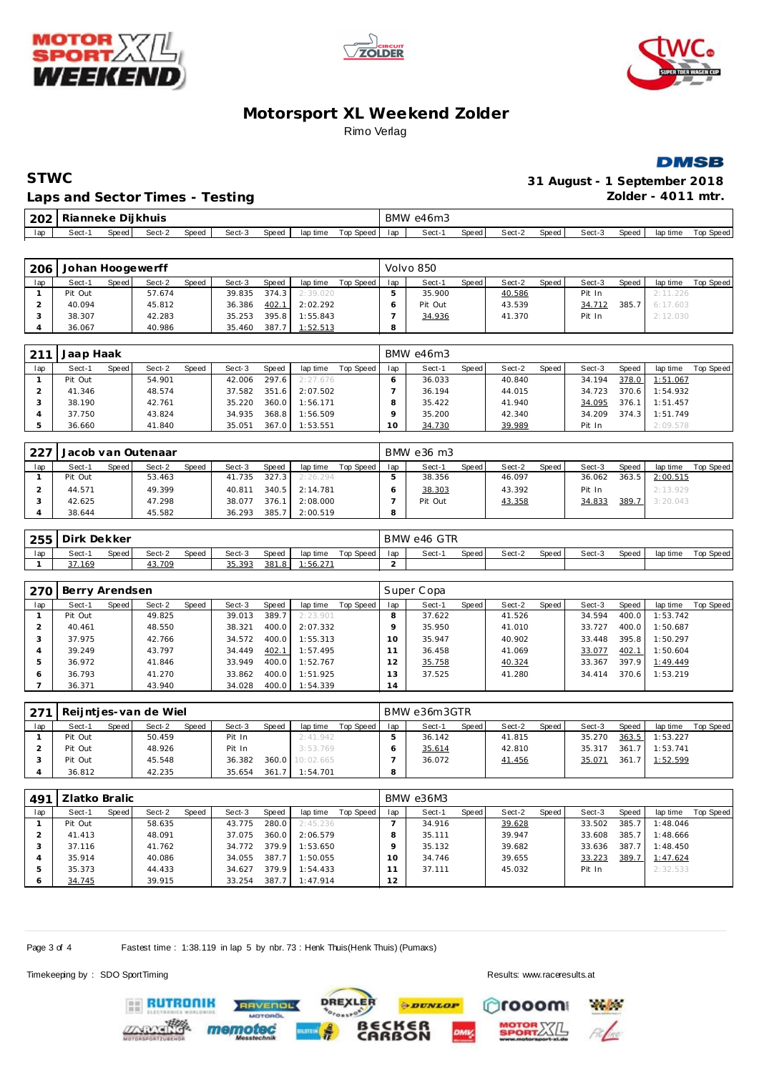







| STWC                            | 31 August - 1 September 2018 |
|---------------------------------|------------------------------|
| Laps and Sector Times - Testing | Zolder - 4011 mtr.           |

Laps and Sector Times - Testing

| 202 | l Rianneke Dii khuis |       |        |       |        |       |          |           |     | BMW e46m3 |       |        |       |        |        |          |           |
|-----|----------------------|-------|--------|-------|--------|-------|----------|-----------|-----|-----------|-------|--------|-------|--------|--------|----------|-----------|
| lap | Sect-1               | Speed | Sect-2 | Speed | Sect-3 | Speed | lap time | Top Speed | lan | Sect-1    | Speed | Sect-2 | Speed | Sect-3 | Speed, | lap time | Top Speed |

| 206 | Johan Hoogewerff |         |        |              |        |       |          |           |     | Volvo 850 |       |        |         |        |       |          |           |
|-----|------------------|---------|--------|--------------|--------|-------|----------|-----------|-----|-----------|-------|--------|---------|--------|-------|----------|-----------|
| lap | Sect-1           | Speed I | Sect-2 | <b>Speed</b> | Sect-3 | Speed | lap time | Top Speed | lap | Sect-1    | Speed | Sect-2 | Speed I | Sect-3 | Speed | lap time | Top Speed |
|     | Pit Out          |         | 57.674 |              | 39.835 | 374.3 | 2:39.020 |           |     | 35.900    |       | 40.586 |         | Pit In |       | 2:11.226 |           |
|     | 40.094           |         | 45.812 |              | 36.386 | 402.1 | 2:02.292 |           |     | Pit Out   |       | 43.539 |         | 34.712 | 385.7 | 6:17.603 |           |
|     | 38.307           |         | 42.283 |              | 35.253 | 395.8 | 1:55.843 |           |     | 34.936    |       | 41.370 |         | Pit In |       | 2:12.030 |           |
|     | 36.067           |         | 40.986 |              | 35.460 | 387.7 | 1:52.513 |           | 8   |           |       |        |         |        |       |          |           |

| 211 | Jaap Haak |       |        |              |        |       |          |           |     | BMW e46m3 |       |        |       |        |       |          |           |
|-----|-----------|-------|--------|--------------|--------|-------|----------|-----------|-----|-----------|-------|--------|-------|--------|-------|----------|-----------|
| lap | Sect-1    | Speed | Sect-2 | <b>Speed</b> | Sect-3 | Speed | lap time | Top Speed | lap | Sect-1    | Speed | Sect-2 | Speed | Sect-3 | Speed | lap time | Top Speed |
|     | Pit Out   |       | 54.901 |              | 42.006 | 297.6 | 2:27.676 |           |     | 36.033    |       | 40.840 |       | 34.194 | 378.0 | 1:51.067 |           |
|     | 41.346    |       | 48.574 |              | 37.582 | 351.6 | 2:07.502 |           |     | 36.194    |       | 44.015 |       | 34.723 | 370.6 | 1:54.932 |           |
|     | 38.190    |       | 42.761 |              | 35.220 | 360.0 | 1:56.171 |           |     | 35.422    |       | 41.940 |       | 34.095 | 376.1 | 1:51.457 |           |
|     | 37.750    |       | 43.824 |              | 34.935 | 368.8 | 1:56.509 |           |     | 35.200    |       | 42.340 |       | 34.209 | 374.3 | 1:51.749 |           |
|     | 36.660    |       | 41.840 |              | 35.051 | 367.0 | 1:53.551 |           | 10  | 34.730    |       | 39.989 |       | Pit In |       | 2:09.578 |           |

| 227 |         |         | Jacob van Outenaar |              |        |       |          |           |     | BMW e36 m3 |       |        |       |        |       |          |           |
|-----|---------|---------|--------------------|--------------|--------|-------|----------|-----------|-----|------------|-------|--------|-------|--------|-------|----------|-----------|
| lap | Sect-1  | Speed I | Sect-2             | <b>Speed</b> | Sect-3 | Speed | lap time | Top Speed | lap | Sect-1     | Speed | Sect-2 | Speed | Sect-3 | Speed | lap time | Top Speed |
|     | Pit Out |         | 53.463             |              | 41.735 | 327.3 | 2:26.294 |           |     | 38.356     |       | 46.097 |       | 36.062 | 363.5 | 2:00.515 |           |
|     | 44.571  |         | 49.399             |              | 40.811 | 340.5 | 2:14.781 |           |     | 38.303     |       | 43.392 |       | Pit In |       | 2:13.929 |           |
|     | 42.625  |         | 47.298             |              | 38.077 | 376.1 | 2:08.000 |           |     | Pit Out    |       | 43.358 |       | 34.833 | 389.7 | 3:20.043 |           |
|     | 38.644  |         | 45.582             |              | 36.293 | 385.7 | 2:00.519 |           | 8   |            |       |        |       |        |       |          |           |

| 255 | Dirk Dekker |       |        |       |        |       |          |           |     | BMW e46 GTR |       |        |       |        |       |          |           |
|-----|-------------|-------|--------|-------|--------|-------|----------|-----------|-----|-------------|-------|--------|-------|--------|-------|----------|-----------|
| lap | Sect-1      | Speed | Sect-2 | Speed | Sect-3 | Speed | lap time | Top Speed | lan | Sect-       | Speed | Sect-2 | Speed | Sect-3 | Speed | lap time | Top Speed |
|     | 37.169      |       | 43.709 |       | 35.393 | 381.8 | .56.271  |           |     |             |       |        |       |        |       |          |           |

| 270 | Berry Arendsen |       |        |       |        |       |          |           |               | Super Copa |       |        |       |        |       |          |           |
|-----|----------------|-------|--------|-------|--------|-------|----------|-----------|---------------|------------|-------|--------|-------|--------|-------|----------|-----------|
| lap | Sect-1         | Speed | Sect-2 | Speed | Sect-3 | Speed | lap time | Top Speed | lap           | Sect-1     | Speed | Sect-2 | Speed | Sect-3 | Speed | lap time | Top Speed |
|     | Pit Out        |       | 49.825 |       | 39.013 | 389.7 | 2:23.901 |           |               | 37.622     |       | 41.526 |       | 34.594 | 400.0 | 1:53.742 |           |
|     | 40.461         |       | 48.550 |       | 38.321 | 400.0 | 2:07.332 |           |               | 35.950     |       | 41.010 |       | 33.727 | 400.0 | 1:50.687 |           |
|     | 37.975         |       | 42.766 |       | 34.572 | 400.0 | 1:55.313 |           | 10            | 35.947     |       | 40.902 |       | 33.448 | 395.8 | 1:50.297 |           |
|     | 39.249         |       | 43.797 |       | 34.449 | 402.1 | 1:57.495 |           |               | 36.458     |       | 41.069 |       | 33.077 | 402.1 | 1:50.604 |           |
|     | 36.972         |       | 41.846 |       | 33.949 | 400.0 | 1:52.767 |           | $\mathcal{P}$ | 35.758     |       | 40.324 |       | 33.367 | 397.9 | 1:49.449 |           |
| c   | 36.793         |       | 41.270 |       | 33.862 | 400.0 | 1:51.925 |           | 3             | 37.525     |       | 41.280 |       | 34.414 | 370.6 | 1:53.219 |           |
|     | 36.371         |       | 43.940 |       | 34.028 | 400.0 | 1:54.339 |           | 14            |            |       |        |       |        |       |          |           |

| 271 |         |       | Reijntjes-van de Wiel |       |        |       |                 |           |     | BMW e36m3GTR |       |        |       |        |       |          |           |
|-----|---------|-------|-----------------------|-------|--------|-------|-----------------|-----------|-----|--------------|-------|--------|-------|--------|-------|----------|-----------|
| lap | Sect-1  | Speed | Sect-2                | Speed | Sect-3 | Speed | lap time        | Top Speed | lap | Sect-1       | Speed | Sect-2 | Speed | Sect-3 | Speed | lap time | Top Speed |
|     | Pit Out |       | 50.459                |       | Pit In |       | 2:41.942        |           |     | 36.142       |       | 41.815 |       | 35.270 | 363.5 | 1:53.227 |           |
|     | Pit Out |       | 48.926                |       | Pit In |       | 3:53.769        |           |     | 35.614       |       | 42.810 |       | 35.317 | 361.7 | 1:53.741 |           |
|     | Pit Out |       | 45.548                |       | 36.382 |       | 360.0 10:02.665 |           |     | 36.072       |       | 41.456 |       | 35.071 | 361.7 | 1:52.599 |           |
|     | 36.812  |       | 42.235                |       | 35.654 | 361.7 | 1:54.701        |           | 8   |              |       |        |       |        |       |          |           |

| .49 <sup>1</sup> | Zlatko Bralic |       |        |       |        |       |          |           |     | BMW e36M3 |       |        |       |        |       |          |           |
|------------------|---------------|-------|--------|-------|--------|-------|----------|-----------|-----|-----------|-------|--------|-------|--------|-------|----------|-----------|
| lap              | Sect-1        | Speed | Sect-2 | Speed | Sect-3 | Speed | lap time | Top Speed | lap | Sect-1    | Speed | Sect-2 | Speed | Sect-3 | Speed | lap time | Top Speed |
|                  | Pit Out       |       | 58.635 |       | 43.775 | 280.0 | 2:45.236 |           |     | 34.916    |       | 39.628 |       | 33.502 | 385.7 | 1:48.046 |           |
|                  | 41.413        |       | 48.091 |       | 37.075 | 360.0 | 2:06.579 |           |     | 35.111    |       | 39.947 |       | 33.608 | 385.7 | 1:48.666 |           |
|                  | 37.116        |       | 41.762 |       | 34.772 | 379.9 | 1:53.650 |           |     | 35.132    |       | 39.682 |       | 33.636 | 387.7 | 1:48.450 |           |
|                  | 35.914        |       | 40.086 |       | 34.055 | 387.7 | 1:50.055 |           | 10  | 34.746    |       | 39.655 |       | 33.223 | 389.7 | 1:47.624 |           |
|                  | 35.373        |       | 44.433 |       | 34.627 | 379.9 | 1:54.433 |           |     | 37.111    |       | 45.032 |       | Pit In |       | 2:32.533 |           |
|                  | 34.745        |       | 39.915 |       | 33.254 | 387.7 | 1:47.914 |           | 12  |           |       |        |       |        |       |          |           |

**DREXLER** 

 $\cdot \cdot \cdot$ 

ß

Page 3 of 4 Fastest time : 1:38.119 in lap 5 by nbr. 73 : Henk Thuis(Henk Thuis) (Pumaxs)

AVENDL

mem

Timekeeping by : SDO SportTiming Results:<www.raceresults.at>

**RUTRONIK** 

**PDUNLOP** rooom